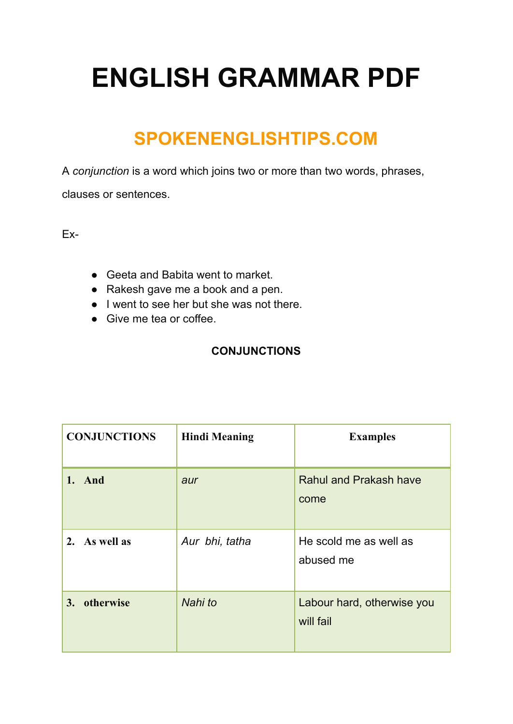# **ENGLISH GRAMMAR PDF**

### **SPOKENENGLISHTIPS.COM**

A *conjunction* is a word which joins two or more than two words, phrases,

clauses or sentences.

Ex-

- Geeta and Babita went to market.
- Rakesh gave me a book and a pen.
- I went to see her but she was not there.
- Give me tea or coffee.

#### **CONJUNCTIONS**

| <b>CONJUNCTIONS</b> | <b>Hindi Meaning</b> | <b>Examples</b>                         |
|---------------------|----------------------|-----------------------------------------|
| 1. And              | aur                  | <b>Rahul and Prakash have</b><br>come   |
| 2. As well as       | Aur bhi, tatha       | He scold me as well as<br>abused me     |
| otherwise<br>3.     | Nahi to              | Labour hard, otherwise you<br>will fail |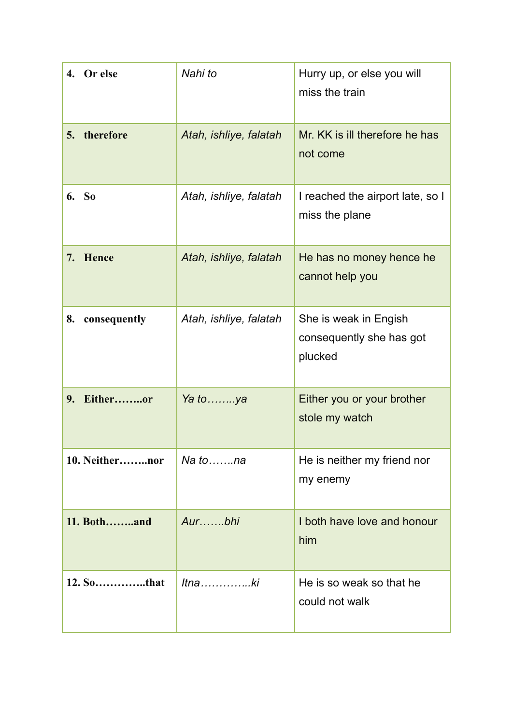| 4. Or else         | Nahi to                | Hurry up, or else you will<br>miss the train                 |
|--------------------|------------------------|--------------------------------------------------------------|
| therefore<br>5.    | Atah, ishliye, falatah | Mr. KK is ill therefore he has<br>not come                   |
| 6. So              | Atah, ishliye, falatah | I reached the airport late, so I<br>miss the plane           |
| 7. Hence           | Atah, ishliye, falatah | He has no money hence he<br>cannot help you                  |
| 8.<br>consequently | Atah, ishliye, falatah | She is weak in Engish<br>consequently she has got<br>plucked |
| 9. Eitheror        | Ya to ya               | Either you or your brother<br>stole my watch                 |
| 10. Neithernor     | $Na$ to $\dots na$     | He is neither my friend nor<br>my enemy                      |
| 11. Bothand        |                        | I both have love and honour<br>him                           |
|                    | $It$ naki              | He is so weak so that he<br>could not walk                   |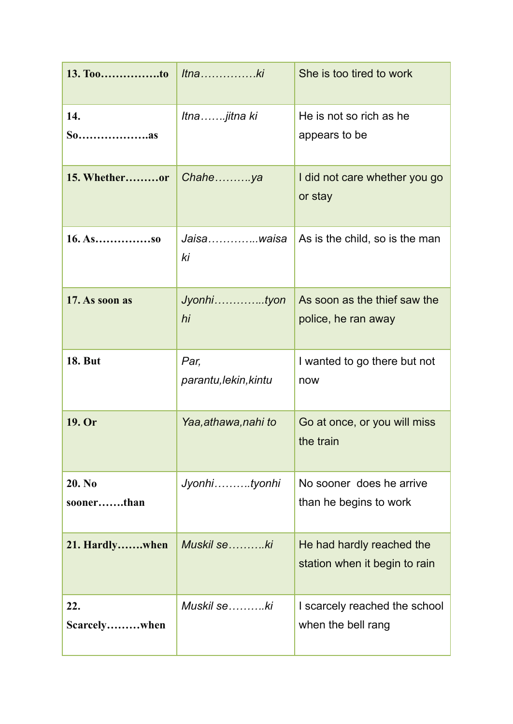| 13. Tooto            | $l$ tnaki                     | She is too tired to work                                   |
|----------------------|-------------------------------|------------------------------------------------------------|
| 14.                  | Itnajitna ki                  | He is not so rich as he<br>appears to be                   |
| 15. Whetheror        | Chaheya                       | I did not care whether you go<br>or stay                   |
|                      | Jaisawaisa<br>ki              | As is the child, so is the man                             |
| 17. As soon as       | Jyonhityon<br>hi              | As soon as the thief saw the<br>police, he ran away        |
| <b>18. But</b>       | Par,<br>parantu, lekin, kintu | I wanted to go there but not<br>now                        |
| 19. Or               | Yaa,athawa,nahi to            | Go at once, or you will miss<br>the train                  |
| 20. No<br>soonerthan | Jyonhityonhi                  | No sooner does he arrive<br>than he begins to work         |
| 21. Hardlywhen       | Muskil seki                   | He had hardly reached the<br>station when it begin to rain |
| 22.<br>Scarcelywhen  | Muskil seki                   | I scarcely reached the school<br>when the bell rang        |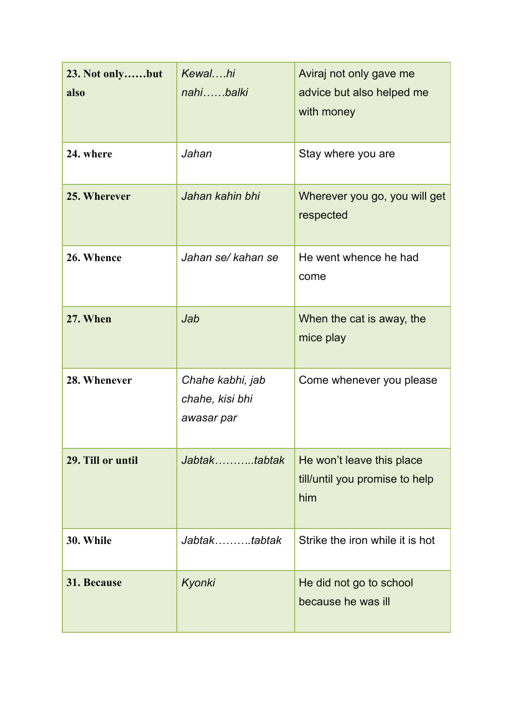| 23. Not onlybut<br>also | Kewalhi<br>nahibalki                              | Aviraj not only gave me<br>advice but also helped me<br>with money |
|-------------------------|---------------------------------------------------|--------------------------------------------------------------------|
| 24. where               | Jahan                                             | Stay where you are                                                 |
| 25. Wherever            | Jahan kahin bhi                                   | Wherever you go, you will get<br>respected                         |
| 26. Whence              | Jahan se/kahan se                                 | He went whence he had<br>come                                      |
| 27. When                | Jab                                               | When the cat is away, the<br>mice play                             |
| 28. Whenever            | Chahe kabhi, jab<br>chahe, kisi bhi<br>awasar par | Come whenever you please                                           |
| 29. Till or until       | Jabtaktabtak                                      | He won't leave this place<br>till/until you promise to help<br>him |
| 30. While               | Jabtaktabtak                                      | Strike the iron while it is hot                                    |
| 31. Because             | Kyonki                                            | He did not go to school<br>because he was ill                      |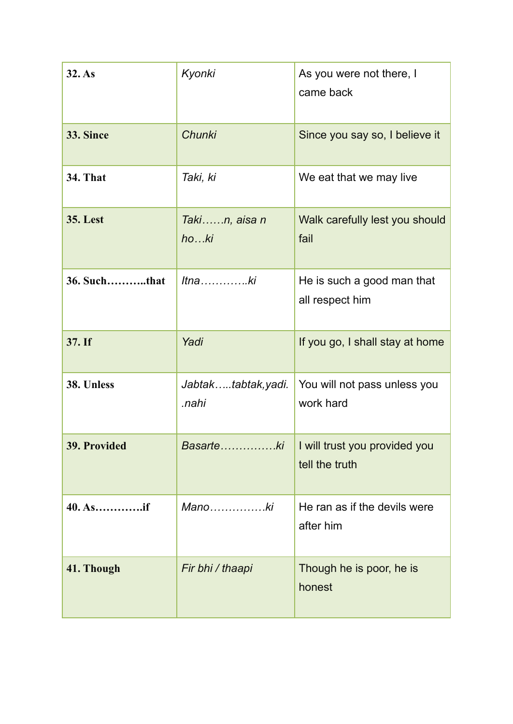| 32. As              | Kyonki                      | As you were not there, I<br>came back           |
|---------------------|-----------------------------|-------------------------------------------------|
| 33. Since           | <b>Chunki</b>               | Since you say so, I believe it                  |
| <b>34. That</b>     | Taki, ki                    | We eat that we may live                         |
| <b>35. Lest</b>     | Takin, aisa n<br>hoki       | Walk carefully lest you should<br>fail          |
| <b>36. Suchthat</b> | $It$ naki                   | He is such a good man that<br>all respect him   |
| 37. If              | Yadi                        | If you go, I shall stay at home                 |
| 38. Unless          | Jabtaktabtak,yadi.<br>.nahi | You will not pass unless you<br>work hard       |
| 39. Provided        | Basarteki                   | I will trust you provided you<br>tell the truth |
| 40. Asif            | Manoki                      | He ran as if the devils were<br>after him       |
| 41. Though          | Fir bhi / thaapi            | Though he is poor, he is<br>honest              |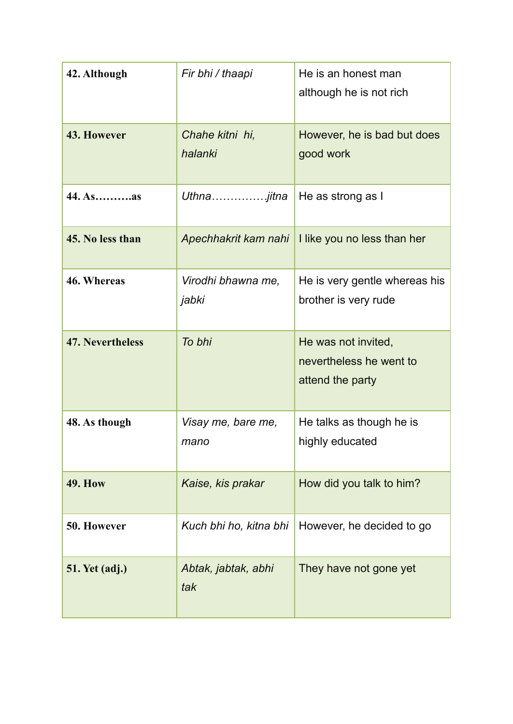| 42. Although            | Fir bhi / thaapi            | He is an honest man<br>although he is not rich                     |
|-------------------------|-----------------------------|--------------------------------------------------------------------|
| 43. However             | Chahe kitni hi,<br>halanki  | However, he is bad but does<br>good work                           |
| 44. Asas                | Uthnajitna                  | He as strong as I                                                  |
| 45. No less than        | Apechhakrit kam nahi        | I like you no less than her                                        |
| 46. Whereas             | Virodhi bhawna me,<br>jabki | He is very gentle whereas his<br>brother is very rude              |
| <b>47. Nevertheless</b> | To bhi                      | He was not invited,<br>nevertheless he went to<br>attend the party |
| 48. As though           | Visay me, bare me,<br>mano  | He talks as though he is<br>highly educated                        |
| <b>49. How</b>          | Kaise, kis prakar           | How did you talk to him?                                           |
| 50. However             | Kuch bhi ho, kitna bhi      | However, he decided to go                                          |
| <b>51. Yet (adj.)</b>   | Abtak, jabtak, abhi<br>tak  | They have not gone yet                                             |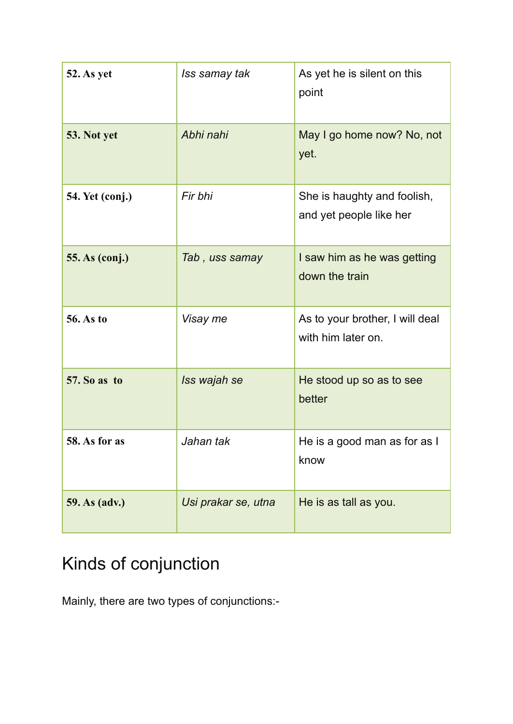| 52. As yet             | Iss samay tak       | As yet he is silent on this<br>point                   |
|------------------------|---------------------|--------------------------------------------------------|
| 53. Not yet            | Abhi nahi           | May I go home now? No, not<br>yet.                     |
| <b>54. Yet (conj.)</b> | Fir bhi             | She is haughty and foolish,<br>and yet people like her |
| <b>55. As (conj.)</b>  | Tab, uss samay      | I saw him as he was getting<br>down the train          |
| <b>56. As to</b>       | Visay me            | As to your brother, I will deal<br>with him later on.  |
| <b>57. So as to</b>    | Iss wajah se        | He stood up so as to see<br>better                     |
| 58. As for as          | Jahan tak           | He is a good man as for as I<br>know                   |
| 59. As (adv.)          | Usi prakar se, utna | He is as tall as you.                                  |

### Kinds of conjunction

Mainly, there are two types of conjunctions:-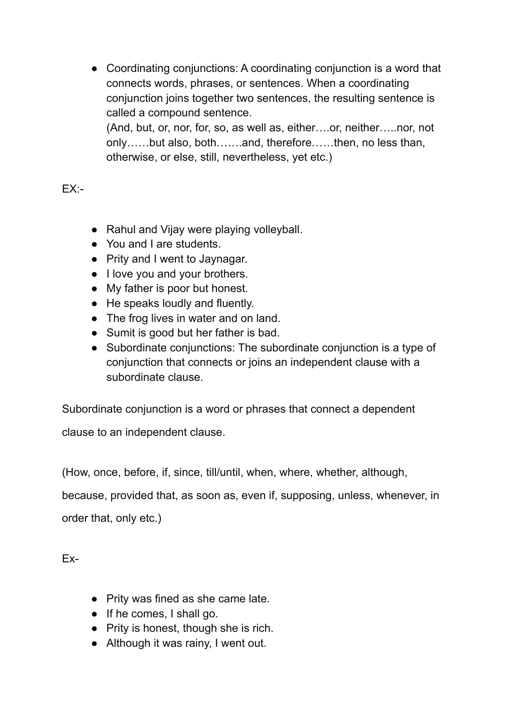• Coordinating conjunctions: A coordinating conjunction is a word that connects words, phrases, or sentences. When a coordinating conjunction joins together two sentences, the resulting sentence is called a compound sentence. (And, but, or, nor, for, so, as well as, either….or, neither…..nor, not only……but also, both…….and, therefore……then, no less than, otherwise, or else, still, nevertheless, yet etc.)

 $FX -$ 

- Rahul and Vijay were playing volleyball.
- You and I are students.
- Prity and I went to Jaynagar.
- I love you and your brothers.
- My father is poor but honest.
- He speaks loudly and fluently.
- The frog lives in water and on land.
- Sumit is good but her father is bad.
- Subordinate conjunctions: The subordinate conjunction is a type of conjunction that connects or joins an independent clause with a subordinate clause.

Subordinate conjunction is a word or phrases that connect a dependent clause to an independent clause.

(How, once, before, if, since, till/until, when, where, whether, although,

because, provided that, as soon as, even if, supposing, unless, whenever, in order that, only etc.)

Ex-

- Prity was fined as she came late.
- If he comes, I shall go.
- Prity is honest, though she is rich.
- Although it was rainy, I went out.